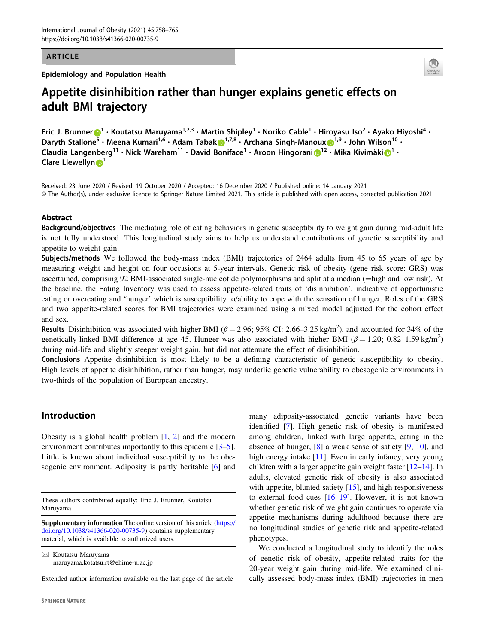## ARTICLE

Epidemiology and Population Health



# Appetite disinhibition rather than hunger explains genetic effects on adult BMI trajectory

E[r](http://orcid.org/0000-0002-0595-4474)ic J. Brunner  $\bigcirc^1 \cdot$  $\bigcirc^1 \cdot$  $\bigcirc^1 \cdot$  Koutatsu Maruyama<sup>1,2,3</sup> • Martin Shipley<sup>1</sup> • Noriko Cable<sup>1</sup> • Hiroyasu Iso<sup>2</sup> • Ayako Hiyoshi<sup>4</sup> • Daryth Stallone<sup>5</sup> • Meena Kumari<sup>1,6</sup> • Adam Taba[k](http://orcid.org/0000-0002-6234-3936) D<sup>[1](http://orcid.org/0000-0002-1244-5037),7,8</sup> • Archana Singh-Manoux D<sup>1,9</sup> • John Wilson<sup>10</sup> • Claud[i](http://orcid.org/0000-0001-8365-0081)a Langenberg<sup>[1](http://orcid.org/0000-0002-4699-5627)1</sup> • Nick Wareham<sup>11</sup> • David Boniface<sup>1</sup> • Aroon Hingorani D<sup>1[2](http://orcid.org/0000-0002-1244-5037)</sup> • Mika Kivimäki D<sup>1</sup> • Clare Llewellyn<sup>[1](http://orcid.org/0000-0002-0066-2827)</sup>

Received: 23 June 2020 / Revised: 19 October 2020 / Accepted: 16 December 2020 / Published online: 14 January 2021 © The Author(s), under exclusive licence to Springer Nature Limited 2021. This article is published with open access, corrected publication 2021

## Abstract

Background/objectives The mediating role of eating behaviors in genetic susceptibility to weight gain during mid-adult life is not fully understood. This longitudinal study aims to help us understand contributions of genetic susceptibility and appetite to weight gain.

Subjects/methods We followed the body-mass index (BMI) trajectories of 2464 adults from 45 to 65 years of age by measuring weight and height on four occasions at 5-year intervals. Genetic risk of obesity (gene risk score: GRS) was ascertained, comprising 92 BMI-associated single-nucleotide polymorphisms and split at a median (=high and low risk). At the baseline, the Eating Inventory was used to assess appetite-related traits of 'disinhibition', indicative of opportunistic eating or overeating and 'hunger' which is susceptibility to/ability to cope with the sensation of hunger. Roles of the GRS and two appetite-related scores for BMI trajectories were examined using a mixed model adjusted for the cohort effect and sex.

Results Disinhibition was associated with higher BMI ( $\beta$  = 2.96; 95% CI: 2.66–3.25 kg/m<sup>2</sup>), and accounted for 34% of the genetically-linked BMI difference at age 45. Hunger was also associated with higher BMI ( $\beta$  = 1.20; 0.82–1.59 kg/m<sup>2</sup>) during mid-life and slightly steeper weight gain, but did not attenuate the effect of disinhibition.

Conclusions Appetite disinhibition is most likely to be a defining characteristic of genetic susceptibility to obesity. High levels of appetite disinhibition, rather than hunger, may underlie genetic vulnerability to obesogenic environments in two-thirds of the population of European ancestry.

# Introduction

Obesity is a global health problem  $[1, 2]$  $[1, 2]$  $[1, 2]$  and the modern environment contributes importantly to this epidemic [\[3](#page-6-0)–[5](#page-6-0)]. Little is known about individual susceptibility to the obe-sogenic environment. Adiposity is partly heritable [[6\]](#page-6-0) and

These authors contributed equally: Eric J. Brunner, Koutatsu Maruyama

 $\boxtimes$  Koutatsu Maruyama [maruyama.kotatsu.rt@ehime-u.ac.jp](mailto:maruyama.kotatsu.rt@ehime-u.ac.jp)

Extended author information available on the last page of the article

many adiposity-associated genetic variants have been identified [\[7](#page-6-0)]. High genetic risk of obesity is manifested among children, linked with large appetite, eating in the absence of hunger, [[8\]](#page-6-0) a weak sense of satiety [\[9](#page-6-0), [10\]](#page-6-0), and high energy intake [\[11](#page-6-0)]. Even in early infancy, very young children with a larger appetite gain weight faster  $[12-14]$  $[12-14]$  $[12-14]$  $[12-14]$ . In adults, elevated genetic risk of obesity is also associated with appetite, blunted satiety [\[15](#page-6-0)], and high responsiveness to external food cues [[16](#page-6-0)–[19\]](#page-6-0). However, it is not known whether genetic risk of weight gain continues to operate via appetite mechanisms during adulthood because there are no longitudinal studies of genetic risk and appetite-related phenotypes.

We conducted a longitudinal study to identify the roles of genetic risk of obesity, appetite-related traits for the 20-year weight gain during mid-life. We examined clinically assessed body-mass index (BMI) trajectories in men

Supplementary information The online version of this article ([https://](https://doi.org/10.1038/s41366-020-00735-9) [doi.org/10.1038/s41366-020-00735-9\)](https://doi.org/10.1038/s41366-020-00735-9) contains supplementary material, which is available to authorized users.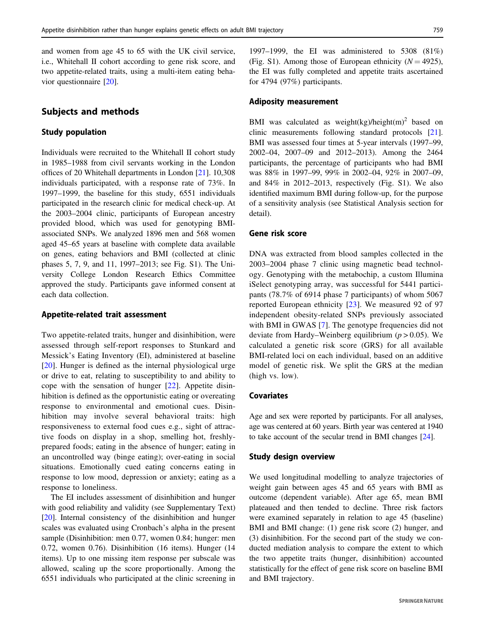and women from age 45 to 65 with the UK civil service, i.e., Whitehall II cohort according to gene risk score, and two appetite-related traits, using a multi-item eating behavior questionnaire [\[20](#page-6-0)].

## Subjects and methods

#### Study population

Individuals were recruited to the Whitehall II cohort study in 1985–1988 from civil servants working in the London offices of 20 Whitehall departments in London [\[21](#page-6-0)]. 10,308 individuals participated, with a response rate of 73%. In 1997–1999, the baseline for this study, 6551 individuals participated in the research clinic for medical check-up. At the 2003–2004 clinic, participants of European ancestry provided blood, which was used for genotyping BMIassociated SNPs. We analyzed 1896 men and 568 women aged 45–65 years at baseline with complete data available on genes, eating behaviors and BMI (collected at clinic phases 5, 7, 9, and 11, 1997–2013; see Fig. S1). The University College London Research Ethics Committee approved the study. Participants gave informed consent at each data collection.

#### Appetite-related trait assessment

Two appetite-related traits, hunger and disinhibition, were assessed through self-report responses to Stunkard and Messick's Eating Inventory (EI), administered at baseline [\[20\]](#page-6-0). Hunger is defined as the internal physiological urge or drive to eat, relating to susceptibility to and ability to cope with the sensation of hunger [[22](#page-6-0)]. Appetite disinhibition is defined as the opportunistic eating or overeating response to environmental and emotional cues. Disinhibition may involve several behavioral traits: high responsiveness to external food cues e.g., sight of attractive foods on display in a shop, smelling hot, freshlyprepared foods; eating in the absence of hunger; eating in an uncontrolled way (binge eating); over-eating in social situations. Emotionally cued eating concerns eating in response to low mood, depression or anxiety; eating as a response to loneliness.

The EI includes assessment of disinhibition and hunger with good reliability and validity (see Supplementary Text) [\[20](#page-6-0)]. Internal consistency of the disinhibition and hunger scales was evaluated using Cronbach's alpha in the present sample (Disinhibition: men 0.77, women 0.84; hunger: men 0.72, women 0.76). Disinhibition (16 items). Hunger (14 items). Up to one missing item response per subscale was allowed, scaling up the score proportionally. Among the 6551 individuals who participated at the clinic screening in

1997–1999, the EI was administered to 5308 (81%) (Fig. S1). Among those of European ethnicity ( $N = 4925$ ), the EI was fully completed and appetite traits ascertained for 4794 (97%) participants.

## Adiposity measurement

BMI was calculated as weight(kg)/height(m)<sup>2</sup> based on clinic measurements following standard protocols [[21\]](#page-6-0). BMI was assessed four times at 5-year intervals (1997–99, 2002–04, 2007–09 and 2012–2013). Among the 2464 participants, the percentage of participants who had BMI was 88% in 1997–99, 99% in 2002–04, 92% in 2007–09, and 84% in 2012–2013, respectively (Fig. S1). We also identified maximum BMI during follow-up, for the purpose of a sensitivity analysis (see Statistical Analysis section for detail).

## Gene risk score

DNA was extracted from blood samples collected in the 2003–2004 phase 7 clinic using magnetic bead technology. Genotyping with the metabochip, a custom Illumina iSelect genotyping array, was successful for 5441 participants (78.7% of 6914 phase 7 participants) of whom 5067 reported European ethnicity [\[23\]](#page-6-0). We measured 92 of 97 independent obesity-related SNPs previously associated with BMI in GWAS [[7\]](#page-6-0). The genotype frequencies did not deviate from Hardy–Weinberg equilibrium ( $p > 0.05$ ). We calculated a genetic risk score (GRS) for all available BMI-related loci on each individual, based on an additive model of genetic risk. We split the GRS at the median (high vs. low).

## Covariates

Age and sex were reported by participants. For all analyses, age was centered at 60 years. Birth year was centered at 1940 to take account of the secular trend in BMI changes [\[24\]](#page-6-0).

#### Study design overview

We used longitudinal modelling to analyze trajectories of weight gain between ages 45 and 65 years with BMI as outcome (dependent variable). After age 65, mean BMI plateaued and then tended to decline. Three risk factors were examined separately in relation to age 45 (baseline) BMI and BMI change: (1) gene risk score (2) hunger, and (3) disinhibition. For the second part of the study we conducted mediation analysis to compare the extent to which the two appetite traits (hunger, disinhibition) accounted statistically for the effect of gene risk score on baseline BMI and BMI trajectory.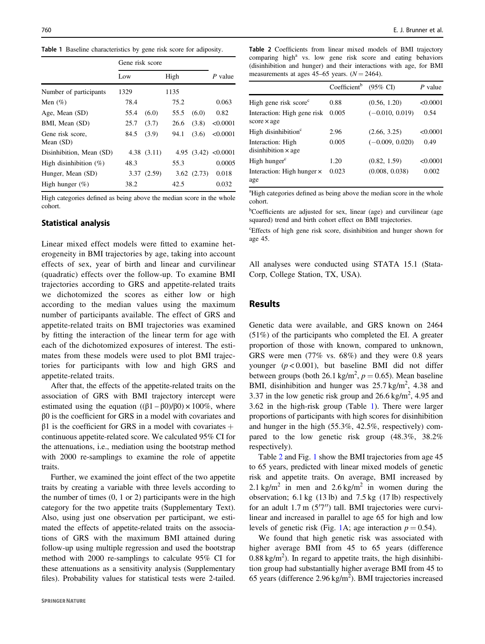|  |  |  | Table 1 Baseline characteristics by gene risk score for adiposity. |  |  |  |  |  |  |  |
|--|--|--|--------------------------------------------------------------------|--|--|--|--|--|--|--|
|--|--|--|--------------------------------------------------------------------|--|--|--|--|--|--|--|

|                               | Gene risk score |            |      |            |                       |
|-------------------------------|-----------------|------------|------|------------|-----------------------|
|                               | Low             |            | High |            | P value               |
| Number of participants        | 1329            |            | 1135 |            |                       |
| Men $(\%)$                    | 78.4            |            | 75.2 |            | 0.063                 |
| Age, Mean (SD)                | 55.4            | (6.0)      | 55.5 | (6.0)      | 0.82                  |
| BMI, Mean (SD)                | 25.7            | (3.7)      | 26.6 | (3.8)      | < 0.0001              |
| Gene risk score.<br>Mean (SD) | 84.5            | (3.9)      | 94.1 | (3.6)      | < 0.0001              |
| Disinhibition, Mean (SD)      |                 | 4.38(3.11) |      |            | 4.95 $(3.42)$ <0.0001 |
| High disinhibition $(\%)$     | 48.3            |            | 55.3 |            | 0.0005                |
| Hunger, Mean (SD)             |                 | 3.37(2.59) |      | 3.62(2.73) | 0.018                 |
| High hunger $(\%)$            | 38.2            |            | 42.5 |            | 0.032                 |

High categories defined as being above the median score in the whole cohort.

#### Statistical analysis

Linear mixed effect models were fitted to examine heterogeneity in BMI trajectories by age, taking into account effects of sex, year of birth and linear and curvilinear (quadratic) effects over the follow-up. To examine BMI trajectories according to GRS and appetite-related traits we dichotomized the scores as either low or high according to the median values using the maximum number of participants available. The effect of GRS and appetite-related traits on BMI trajectories was examined by fitting the interaction of the linear term for age with each of the dichotomized exposures of interest. The estimates from these models were used to plot BMI trajectories for participants with low and high GRS and appetite-related traits.

After that, the effects of the appetite-related traits on the association of GRS with BMI trajectory intercept were estimated using the equation  $((β1 – β0)/β0) \times 100\%$ , where β0 is the coefficient for GRS in a model with covariates and  $β1$  is the coefficient for GRS in a model with covariates + continuous appetite-related score. We calculated 95% CI for the attenuations, i.e., mediation using the bootstrap method with 2000 re-samplings to examine the role of appetite traits.

Further, we examined the joint effect of the two appetite traits by creating a variable with three levels according to the number of times (0, 1 or 2) participants were in the high category for the two appetite traits (Supplementary Text). Also, using just one observation per participant, we estimated the effects of appetite-related traits on the associations of GRS with the maximum BMI attained during follow-up using multiple regression and used the bootstrap method with 2000 re-samplings to calculate 95% CI for these attenuations as a sensitivity analysis (Supplementary files). Probability values for statistical tests were 2-tailed.

Table 2 Coefficients from linear mixed models of BMI trajectory comparing high<sup>a</sup> vs. low gene risk score and eating behaviors (disinhibition and hunger) and their interactions with age, for BMI measurements at ages 45–65 years.  $(N = 2464)$ .

|                                                   | Coefficient <sup>b</sup> | $(95\% \text{ C}I)$ | P value  |
|---------------------------------------------------|--------------------------|---------------------|----------|
| High gene risk score <sup>c</sup>                 | 0.88                     | (0.56, 1.20)        | < 0.0001 |
| Interaction: High gene risk<br>$score \times age$ | 0.005                    | $(-0.010, 0.019)$   | 0.54     |
| High disinhibition <sup>c</sup>                   | 2.96                     | (2.66, 3.25)        | < 0.0001 |
| Interaction: High<br>disinhibition $\times$ age   | 0.005                    | $(-0.009, 0.020)$   | 0.49     |
| High hunger <sup>c</sup>                          | 1.20                     | (0.82, 1.59)        | < 0.0001 |
| Interaction: High hunger $\times$<br>age          | 0.023                    | (0.008, 0.038)      | 0.002    |

<sup>a</sup>High categories defined as being above the median score in the whole cohort.

<sup>b</sup>Coefficients are adjusted for sex, linear (age) and curvilinear (age squared) trend and birth cohort effect on BMI trajectories.

c Effects of high gene risk score, disinhibition and hunger shown for age 45.

All analyses were conducted using STATA 15.1 (Stata-Corp, College Station, TX, USA).

## Results

Genetic data were available, and GRS known on 2464 (51%) of the participants who completed the EI. A greater proportion of those with known, compared to unknown, GRS were men (77% vs. 68%) and they were 0.8 years younger  $(p < 0.001)$ , but baseline BMI did not differ between groups (both 26.1 kg/m<sup>2</sup>,  $p = 0.65$ ). Mean baseline BMI, disinhibition and hunger was  $25.7 \text{ kg/m}^2$ , 4.38 and 3.37 in the low genetic risk group and  $26.6 \text{ kg/m}^2$ , 4.95 and 3.62 in the high-risk group (Table 1). There were larger proportions of participants with high scores for disinhibition and hunger in the high (55.3%, 42.5%, respectively) compared to the low genetic risk group (48.3%, 38.2% respectively).

Table 2 and Fig. [1](#page-3-0) show the BMI trajectories from age 45 to 65 years, predicted with linear mixed models of genetic risk and appetite traits. On average, BMI increased by 2.1 kg/m<sup>2</sup> in men and  $2.6$  kg/m<sup>2</sup> in women during the observation; 6.1 kg (13 lb) and 7.5 kg (17 lb) respectively for an adult 1.7 m (5′7′′) tall. BMI trajectories were curvilinear and increased in parallel to age 65 for high and low levels of genetic risk (Fig. [1](#page-3-0)A; age interaction  $p = 0.54$ ).

We found that high genetic risk was associated with higher average BMI from 45 to 65 years (difference  $0.88 \text{ kg/m}^2$ ). In regard to appetite traits, the high disinhibition group had substantially higher average BMI from 45 to 65 years (difference  $2.96 \text{ kg/m}^2$ ). BMI trajectories increased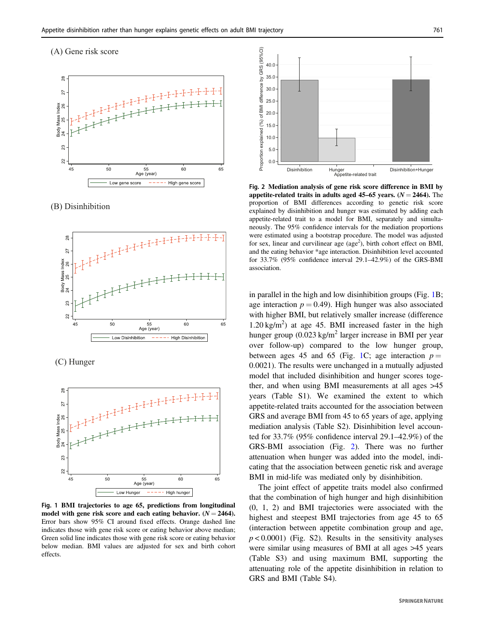# <span id="page-3-0"></span> $\sqrt{2}$  General risk score



 $\sum_{i=1}^{n}$ 



 $\left( \cdot \right)$  ----g.



Fig. 1 BMI trajectories to age 65, predictions from longitudinal model with gene risk score and each eating behavior.  $(N = 2464)$ . Error bars show 95% CI around fixed effects. Orange dashed line indicates those with gene risk score or eating behavior above median; Green solid line indicates those with gene risk score or eating behavior below median. BMI values are adjusted for sex and birth cohort effects.



Fig. 2 Mediation analysis of gene risk score difference in BMI by appetite-related traits in adults aged 45–65 years.  $(N = 2464)$ . The proportion of BMI differences according to genetic risk score explained by disinhibition and hunger was estimated by adding each appetite-related trait to a model for BMI, separately and simultaneously. The 95% confidence intervals for the mediation proportions were estimated using a bootstrap procedure. The model was adjusted for sex, linear and curvilinear age (age<sup>2</sup>), birth cohort effect on BMI, and the eating behavior \*age interaction. Disinhibition level accounted for 33.7% (95% confidence interval 29.1–42.9%) of the GRS-BMI association.

in parallel in the high and low disinhibition groups (Fig. 1B; age interaction  $p = 0.49$ . High hunger was also associated with higher BMI, but relatively smaller increase (difference  $1.20 \text{ kg/m}^2$ ) at age 45. BMI increased faster in the high hunger group  $(0.023 \text{ kg/m}^2)$  larger increase in BMI per year over follow-up) compared to the low hunger group, between ages 45 and 65 (Fig. 1C; age interaction  $p =$ 0.0021). The results were unchanged in a mutually adjusted model that included disinhibition and hunger scores together, and when using BMI measurements at all ages >45 years (Table S1). We examined the extent to which appetite-related traits accounted for the association between GRS and average BMI from 45 to 65 years of age, applying mediation analysis (Table S2). Disinhibition level accounted for 33.7% (95% confidence interval 29.1–42.9%) of the GRS-BMI association (Fig. 2). There was no further attenuation when hunger was added into the model, indicating that the association between genetic risk and average BMI in mid-life was mediated only by disinhibition.

The joint effect of appetite traits model also confirmed that the combination of high hunger and high disinhibition (0, 1, 2) and BMI trajectories were associated with the highest and steepest BMI trajectories from age 45 to 65 (interaction between appetite combination group and age,  $p < 0.0001$ ) (Fig. S2). Results in the sensitivity analyses were similar using measures of BMI at all ages >45 years (Table S3) and using maximum BMI, supporting the attenuating role of the appetite disinhibition in relation to GRS and BMI (Table S4).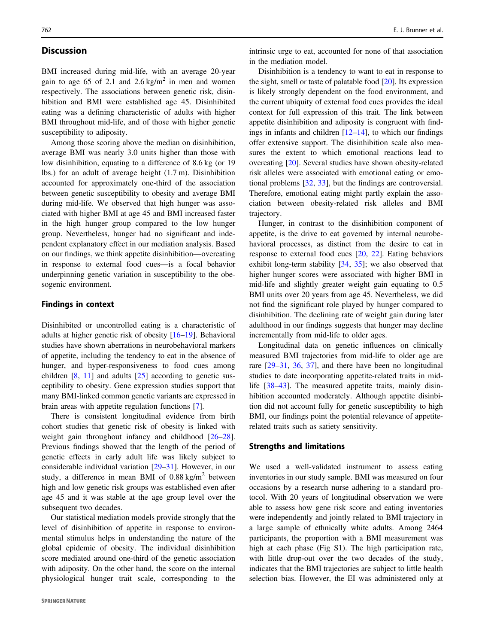## **Discussion**

BMI increased during mid-life, with an average 20-year gain to age 65 of 2.1 and  $2.6 \text{ kg/m}^2$  in men and women respectively. The associations between genetic risk, disinhibition and BMI were established age 45. Disinhibited eating was a defining characteristic of adults with higher BMI throughout mid-life, and of those with higher genetic susceptibility to adiposity.

Among those scoring above the median on disinhibition, average BMI was nearly 3.0 units higher than those with low disinhibition, equating to a difference of 8.6 kg (or 19 lbs.) for an adult of average height (1.7 m). Disinhibition accounted for approximately one-third of the association between genetic susceptibility to obesity and average BMI during mid-life. We observed that high hunger was associated with higher BMI at age 45 and BMI increased faster in the high hunger group compared to the low hunger group. Nevertheless, hunger had no significant and independent explanatory effect in our mediation analysis. Based on our findings, we think appetite disinhibition—overeating in response to external food cues—is a focal behavior underpinning genetic variation in susceptibility to the obesogenic environment.

### Findings in context

Disinhibited or uncontrolled eating is a characteristic of adults at higher genetic risk of obesity [\[16](#page-6-0)–[19\]](#page-6-0). Behavioral studies have shown aberrations in neurobehavioral markers of appetite, including the tendency to eat in the absence of hunger, and hyper-responsiveness to food cues among children  $[8, 11]$  $[8, 11]$  $[8, 11]$  $[8, 11]$  $[8, 11]$  and adults  $[25]$  $[25]$  according to genetic susceptibility to obesity. Gene expression studies support that many BMI-linked common genetic variants are expressed in brain areas with appetite regulation functions [\[7](#page-6-0)].

There is consistent longitudinal evidence from birth cohort studies that genetic risk of obesity is linked with weight gain throughout infancy and childhood [\[26](#page-6-0)–[28](#page-6-0)]. Previous findings showed that the length of the period of genetic effects in early adult life was likely subject to considerable individual variation [\[29](#page-6-0)–[31](#page-6-0)]. However, in our study, a difference in mean BMI of  $0.88 \text{ kg/m}^2$  between high and low genetic risk groups was established even after age 45 and it was stable at the age group level over the subsequent two decades.

Our statistical mediation models provide strongly that the level of disinhibition of appetite in response to environmental stimulus helps in understanding the nature of the global epidemic of obesity. The individual disinhibition score mediated around one-third of the genetic association with adiposity. On the other hand, the score on the internal physiological hunger trait scale, corresponding to the

intrinsic urge to eat, accounted for none of that association in the mediation model.

Disinhibition is a tendency to want to eat in response to the sight, smell or taste of palatable food [[20\]](#page-6-0). Its expression is likely strongly dependent on the food environment, and the current ubiquity of external food cues provides the ideal context for full expression of this trait. The link between appetite disinhibition and adiposity is congruent with findings in infants and children  $[12-14]$  $[12-14]$  $[12-14]$  $[12-14]$ , to which our findings offer extensive support. The disinhibition scale also measures the extent to which emotional reactions lead to overeating [[20\]](#page-6-0). Several studies have shown obesity-related risk alleles were associated with emotional eating or emotional problems [[32,](#page-6-0) [33](#page-6-0)], but the findings are controversial. Therefore, emotional eating might partly explain the association between obesity-related risk alleles and BMI trajectory.

Hunger, in contrast to the disinhibition component of appetite, is the drive to eat governed by internal neurobehavioral processes, as distinct from the desire to eat in response to external food cues [[20,](#page-6-0) [22](#page-6-0)]. Eating behaviors exhibit long-term stability [[34,](#page-6-0) [35](#page-6-0)]; we also observed that higher hunger scores were associated with higher BMI in mid-life and slightly greater weight gain equating to 0.5 BMI units over 20 years from age 45. Nevertheless, we did not find the significant role played by hunger compared to disinhibition. The declining rate of weight gain during later adulthood in our findings suggests that hunger may decline incrementally from mid-life to older ages.

Longitudinal data on genetic influences on clinically measured BMI trajectories from mid-life to older age are rare [\[29](#page-6-0)–[31](#page-6-0), [36,](#page-6-0) [37](#page-6-0)], and there have been no longitudinal studies to date incorporating appetite-related traits in mid-life [\[38](#page-7-0)–[43](#page-7-0)]. The measured appetite traits, mainly disinhibition accounted moderately. Although appetite disinbition did not account fully for genetic susceptibility to high BMI, our findings point the potential relevance of appetiterelated traits such as satiety sensitivity.

#### Strengths and limitations

We used a well-validated instrument to assess eating inventories in our study sample. BMI was measured on four occasions by a research nurse adhering to a standard protocol. With 20 years of longitudinal observation we were able to assess how gene risk score and eating inventories were independently and jointly related to BMI trajectory in a large sample of ethnically white adults. Among 2464 participants, the proportion with a BMI measurement was high at each phase (Fig S1). The high participation rate, with little drop-out over the two decades of the study, indicates that the BMI trajectories are subject to little health selection bias. However, the EI was administered only at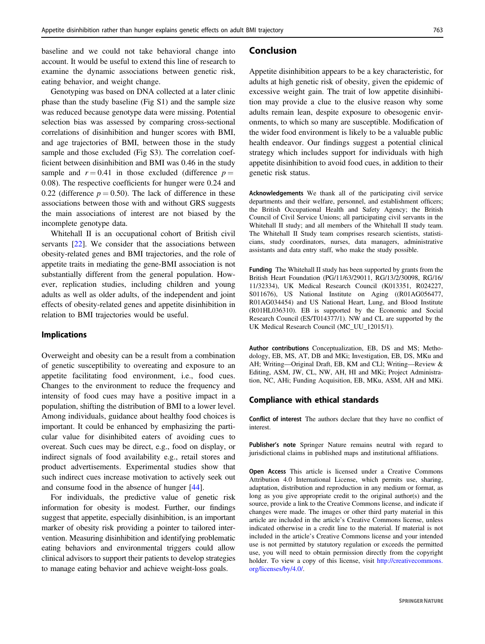baseline and we could not take behavioral change into account. It would be useful to extend this line of research to examine the dynamic associations between genetic risk, eating behavior, and weight change.

Genotyping was based on DNA collected at a later clinic phase than the study baseline (Fig S1) and the sample size was reduced because genotype data were missing. Potential selection bias was assessed by comparing cross-sectional correlations of disinhibition and hunger scores with BMI, and age trajectories of BMI, between those in the study sample and those excluded (Fig S3). The correlation coefficient between disinhibition and BMI was 0.46 in the study sample and  $r = 0.41$  in those excluded (difference  $p =$ 0.08). The respective coefficients for hunger were 0.24 and 0.22 (difference  $p = 0.50$ ). The lack of difference in these associations between those with and without GRS suggests the main associations of interest are not biased by the incomplete genotype data.

Whitehall II is an occupational cohort of British civil servants [\[22](#page-6-0)]. We consider that the associations between obesity-related genes and BMI trajectories, and the role of appetite traits in mediating the gene-BMI association is not substantially different from the general population. However, replication studies, including children and young adults as well as older adults, of the independent and joint effects of obesity-related genes and appetite disinhibition in relation to BMI trajectories would be useful.

### Implications

Overweight and obesity can be a result from a combination of genetic susceptibility to overeating and exposure to an appetite facilitating food environment, i.e., food cues. Changes to the environment to reduce the frequency and intensity of food cues may have a positive impact in a population, shifting the distribution of BMI to a lower level. Among individuals, guidance about healthy food choices is important. It could be enhanced by emphasizing the particular value for disinhibited eaters of avoiding cues to overeat. Such cues may be direct, e.g., food on display, or indirect signals of food availability e.g., retail stores and product advertisements. Experimental studies show that such indirect cues increase motivation to actively seek out and consume food in the absence of hunger [\[44](#page-7-0)].

For individuals, the predictive value of genetic risk information for obesity is modest. Further, our findings suggest that appetite, especially disinhibition, is an important marker of obesity risk providing a pointer to tailored intervention. Measuring disinhibition and identifying problematic eating behaviors and environmental triggers could allow clinical advisors to support their patients to develop strategies to manage eating behavior and achieve weight-loss goals.

## Conclusion

Appetite disinhibition appears to be a key characteristic, for adults at high genetic risk of obesity, given the epidemic of excessive weight gain. The trait of low appetite disinhibition may provide a clue to the elusive reason why some adults remain lean, despite exposure to obesogenic environments, to which so many are susceptible. Modification of the wider food environment is likely to be a valuable public health endeavor. Our findings suggest a potential clinical strategy which includes support for individuals with high appetite disinhibition to avoid food cues, in addition to their genetic risk status.

Acknowledgements We thank all of the participating civil service departments and their welfare, personnel, and establishment officers; the British Occupational Health and Safety Agency; the British Council of Civil Service Unions; all participating civil servants in the Whitehall II study; and all members of the Whitehall II study team. The Whitehall II Study team comprises research scientists, statisticians, study coordinators, nurses, data managers, administrative assistants and data entry staff, who make the study possible.

Funding The Whitehall II study has been supported by grants from the British Heart Foundation (PG/11/63/29011, RG/13/2/30098, RG/16/ 11/32334), UK Medical Research Council (K013351, R024227, S011676), US National Institute on Aging ((R01AG056477, R01AG034454) and US National Heart, Lung, and Blood Institute (R01HL036310). EB is supported by the Economic and Social Research Council (ES/T014377/1). NW and CL are supported by the UK Medical Research Council (MC\_UU\_12015/1).

Author contributions Conceptualization, EB, DS and MS; Methodology, EB, MS, AT, DB and MKi; Investigation, EB, DS, MKu and AH; Writing—Original Draft, EB, KM and CLl; Writing—Review & Editing, ASM, JW, CL, NW, AH, HI and MKi; Project Administration, NC, AHi; Funding Acquisition, EB, MKu, ASM, AH and MKi.

#### Compliance with ethical standards

Conflict of interest The authors declare that they have no conflict of interest.

Publisher's note Springer Nature remains neutral with regard to jurisdictional claims in published maps and institutional affiliations.

Open Access This article is licensed under a Creative Commons Attribution 4.0 International License, which permits use, sharing, adaptation, distribution and reproduction in any medium or format, as long as you give appropriate credit to the original author(s) and the source, provide a link to the Creative Commons license, and indicate if changes were made. The images or other third party material in this article are included in the article's Creative Commons license, unless indicated otherwise in a credit line to the material. If material is not included in the article's Creative Commons license and your intended use is not permitted by statutory regulation or exceeds the permitted use, you will need to obtain permission directly from the copyright holder. To view a copy of this license, visit [http://creativecommons.](http://creativecommons.org/licenses/by/4.0/) [org/licenses/by/4.0/](http://creativecommons.org/licenses/by/4.0/).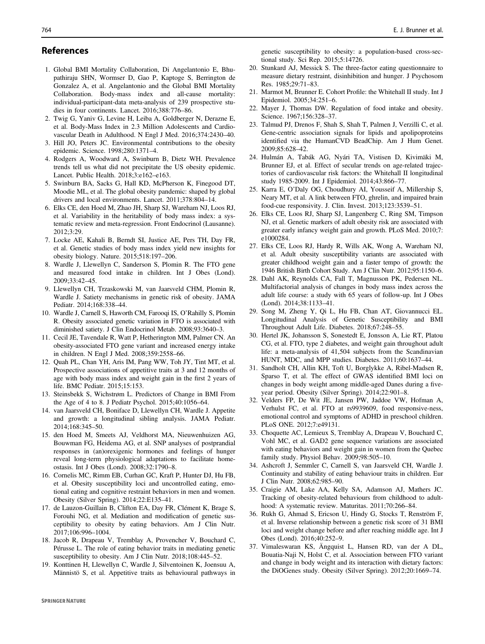## <span id="page-6-0"></span>References

- 1. Global BMI Mortality Collaboration, Di Angelantonio E, Bhupathiraju SHN, Wormser D, Gao P, Kaptoge S, Berrington de Gonzalez A, et al. Angelantonio and the Global BMI Mortality Collaboration. Body-mass index and all-cause mortality: individual-participant-data meta-analysis of 239 prospective studies in four continents. Lancet. 2016;388:776–86.
- 2. Twig G, Yaniv G, Levine H, Leiba A, Goldberger N, Derazne E, et al. Body-Mass Index in 2.3 Million Adolescents and Cardiovascular Death in Adulthood. N Engl J Med. 2016;374:2430–40.
- 3. Hill JO, Peters JC. Environmental contributions to the obesity epidemic. Science. 1998;280:1371–4.
- 4. Rodgers A, Woodward A, Swinburn B, Dietz WH. Prevalence trends tell us what did not precipitate the US obesity epidemic. Lancet. Public Health. 2018;3:e162–e163.
- 5. Swinburn BA, Sacks G, Hall KD, McPherson K, Finegood DT, Moodie ML, et al. The global obesity pandemic: shaped by global drivers and local environments. Lancet. 2011;378:804–14.
- 6. Elks CE, den Hoed M, Zhao JH, Sharp SJ, Wareham NJ, Loos RJ, et al. Variability in the heritability of body mass index: a systematic review and meta-regression. Front Endocrinol (Lausanne). 2012;3:29.
- 7. Locke AE, Kahali B, Berndt SI, Justice AE, Pers TH, Day FR, et al. Genetic studies of body mass index yield new insights for obesity biology. Nature. 2015;518:197–206.
- 8. Wardle J, Llewellyn C, Sanderson S, Plomin R. The FTO gene and measured food intake in children. Int J Obes (Lond). 2009;33:42–45.
- 9. Llewellyn CH, Trzaskowski M, van Jaarsveld CHM, Plomin R, Wardle J. Satiety mechanisms in genetic risk of obesity. JAMA Pediatr. 2014;168:338–44.
- 10. Wardle J, Carnell S, Haworth CM, Farooqi IS, O'Rahilly S, Plomin R. Obesity associated genetic variation in FTO is associated with diminished satiety. J Clin Endocrinol Metab. 2008;93:3640–3.
- 11. Cecil JE, Tavendale R, Watt P, Hetherington MM, Palmer CN. An obesity-associated FTO gene variant and increased energy intake in children. N Engl J Med. 2008;359:2558–66.
- 12. Quah PL, Chan YH, Aris IM, Pang WW, Toh JY, Tint MT, et al. Prospective associations of appetitive traits at 3 and 12 months of age with body mass index and weight gain in the first 2 years of life. BMC Pediatr. 2015;15:153.
- 13. Steinsbekk S, Wichstrøm L. Predictors of Change in BMI From the Age of 4 to 8. J Pediatr Psychol. 2015;40:1056–64.
- 14. van Jaarsveld CH, Boniface D, Llewellyn CH, Wardle J. Appetite and growth: a longitudinal sibling analysis. JAMA Pediatr. 2014;168:345–50.
- 15. den Hoed M, Smeets AJ, Veldhorst MA, Nieuwenhuizen AG, Bouwman FG, Heidema AG, et al. SNP analyses of postprandial responses in (an)orexigenic hormones and feelings of hunger reveal long-term physiological adaptations to facilitate homeostasis. Int J Obes (Lond). 2008;32:1790–8.
- 16. Cornelis MC, Rimm EB, Curhan GC, Kraft P, Hunter DJ, Hu FB, et al. Obesity susceptibility loci and uncontrolled eating, emotional eating and cognitive restraint behaviors in men and women. Obesity (Silver Spring). 2014;22:E135–41.
- 17. de Lauzon-Guillain B, Clifton EA, Day FR, Clément K, Brage S, Forouhi NG, et al. Mediation and modification of genetic susceptibility to obesity by eating behaviors. Am J Clin Nutr. 2017;106:996–1004.
- 18. Jacob R, Drapeau V, Tremblay A, Provencher V, Bouchard C, Pérusse L. The role of eating behavior traits in mediating genetic susceptibility to obesity. Am J Clin Nutr. 2018;108:445–52.
- 19. Konttinen H, Llewellyn C, Wardle J, Silventoinen K, Joensuu A, Männistö S, et al. Appetitive traits as behavioural pathways in

genetic susceptibility to obesity: a population-based cross-sectional study. Sci Rep. 2015;5:14726.

- 20. Stunkard AJ, Messick S. The three-factor eating questionnaire to measure dietary restraint, disinhibition and hunger. J Psychosom Res. 1985;29:71–83.
- 21. Marmot M, Brunner E. Cohort Profile: the Whitehall II study. Int J Epidemiol. 2005;34:251–6.
- 22. Mayer J, Thomas DW. Regulation of food intake and obesity. Science. 1967;156:328–37.
- 23. Talmud PJ, Drenos F, Shah S, Shah T, Palmen J, Verzilli C, et al. Gene-centric association signals for lipids and apolipoproteins identified via the HumanCVD BeadChip. Am J Hum Genet. 2009;85:628–42.
- 24. Hulmán A, Tabák AG, Nyári TA, Vistisen D, Kivimäki M, Brunner EJ, et al. Effect of secular trends on age-related trajectories of cardiovascular risk factors: the Whitehall II longitudinal study 1985-2009. Int J Epidemiol. 2014;43:866–77.
- 25. Karra E, O'Daly OG, Choudhury AI, Yousseif A, Millership S, Neary MT, et al. A link between FTO, ghrelin, and impaired brain food-cue responsivity. J. Clin. Invest. 2013;123:3539–51.
- 26. Elks CE, Loos RJ, Sharp SJ, Langenberg C, Ring SM, Timpson NJ, et al. Genetic markers of adult obesity risk are associated with greater early infancy weight gain and growth. PLoS Med. 2010;7: e1000284.
- 27. Elks CE, Loos RJ, Hardy R, Wills AK, Wong A, Wareham NJ, et al. Adult obesity susceptibility variants are associated with greater childhood weight gain and a faster tempo of growth: the 1946 British Birth Cohort Study. Am J Clin Nutr. 2012;95:1150–6.
- 28. Dahl AK, Reynolds CA, Fall T, Magnusson PK, Pedersen NL. Multifactorial analysis of changes in body mass index across the adult life course: a study with 65 years of follow-up. Int J Obes (Lond). 2014;38:1133–41.
- 29. Song M, Zheng Y, Qi L, Hu FB, Chan AT, Giovannucci EL. Longitudinal Analysis of Genetic Susceptibility and BMI Throughout Adult Life. Diabetes. 2018;67:248–55.
- 30. Hertel JK, Johansson S, Sonestedt E, Jonsson A, Lie RT, Platou CG, et al. FTO, type 2 diabetes, and weight gain throughout adult life: a meta-analysis of 41,504 subjects from the Scandinavian HUNT, MDC, and MPP studies. Diabetes. 2011;60:1637–44.
- 31. Sandholt CH, Allin KH, Toft U, Borglykke A, Ribel-Madsen R, Sparso T, et al. The effect of GWAS identified BMI loci on changes in body weight among middle-aged Danes during a fiveyear period. Obesity (Silver Spring). 2014;22:901–8.
- 32. Velders FP, De Wit JE, Jansen PW, Jaddoe VW, Hofman A, Verhulst FC, et al. FTO at rs9939609, food responsive-ness, emotional control and symptoms of ADHD in preschool children. PLoS ONE. 2012;7:e49131.
- 33. Choquette AC, Lemieux S, Tremblay A, Drapeau V, Bouchard C, Vohl MC, et al. GAD2 gene sequence variations are associated with eating behaviors and weight gain in women from the Quebec family study. Physiol Behav. 2009;98:505–10.
- 34. Ashcroft J, Semmler C, Carnell S, van Jaarsveld CH, Wardle J. Continuity and stability of eating behaviour traits in children. Eur J Clin Nutr. 2008;62:985–90.
- 35. Craigie AM, Lake AA, Kelly SA, Adamson AJ, Mathers JC. Tracking of obesity-related behaviours from childhood to adulthood: A systematic review. Maturitas. 2011;70:266–84.
- 36. Rukh G, Ahmad S, Ericson U, Hindy G, Stocks T, Renström F, et al. Inverse relationship between a genetic risk score of 31 BMI loci and weight change before and after reaching middle age. Int J Obes (Lond). 2016;40:252–9.
- 37. Vimaleswaran KS, Ängquist L, Hansen RD, van der A DL, Bouatia-Naji N, Holst C, et al. Association between FTO variant and change in body weight and its interaction with dietary factors: the DiOGenes study. Obesity (Silver Spring). 2012;20:1669–74.